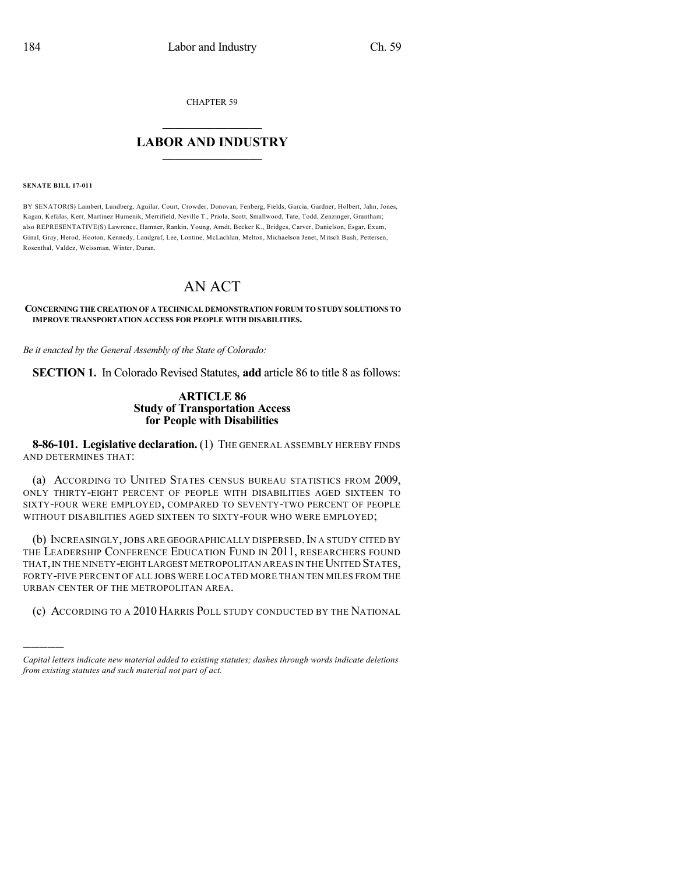CHAPTER 59

## $\mathcal{L}_\text{max}$  . The set of the set of the set of the set of the set of the set of the set of the set of the set of the set of the set of the set of the set of the set of the set of the set of the set of the set of the set **LABOR AND INDUSTRY**  $\frac{1}{\sqrt{2}}$  ,  $\frac{1}{\sqrt{2}}$  ,  $\frac{1}{\sqrt{2}}$  ,  $\frac{1}{\sqrt{2}}$  ,  $\frac{1}{\sqrt{2}}$  ,  $\frac{1}{\sqrt{2}}$

#### **SENATE BILL 17-011**

)))))

BY SENATOR(S) Lambert, Lundberg, Aguilar, Court, Crowder, Donovan, Fenberg, Fields, Garcia, Gardner, Holbert, Jahn, Jones, Kagan, Kefalas, Kerr, Martinez Humenik, Merrifield, Neville T., Priola, Scott, Smallwood, Tate, Todd, Zenzinger, Grantham; also REPRESENTATIVE(S) Lawrence, Hamner, Rankin, Young, Arndt, Becker K., Bridges, Carver, Danielson, Esgar, Exum, Ginal, Gray, Herod, Hooton, Kennedy, Landgraf, Lee, Lontine, McLachlan, Melton, Michaelson Jenet, Mitsch Bush, Pettersen, Rosenthal, Valdez, Weissman, Winter, Duran.

# AN ACT

#### **CONCERNING THE CREATION OF A TECHNICAL DEMONSTRATION FORUM TO STUDY SOLUTIONS TO IMPROVE TRANSPORTATION ACCESS FOR PEOPLE WITH DISABILITIES.**

*Be it enacted by the General Assembly of the State of Colorado:*

**SECTION 1.** In Colorado Revised Statutes, **add** article 86 to title 8 as follows:

### **ARTICLE 86 Study of Transportation Access for People with Disabilities**

**8-86-101. Legislative declaration.** (1) THE GENERAL ASSEMBLY HEREBY FINDS AND DETERMINES THAT:

(a) ACCORDING TO UNITED STATES CENSUS BUREAU STATISTICS FROM 2009, ONLY THIRTY-EIGHT PERCENT OF PEOPLE WITH DISABILITIES AGED SIXTEEN TO SIXTY-FOUR WERE EMPLOYED, COMPARED TO SEVENTY-TWO PERCENT OF PEOPLE WITHOUT DISABILITIES AGED SIXTEEN TO SIXTY-FOUR WHO WERE EMPLOYED;

(b) INCREASINGLY, JOBS ARE GEOGRAPHICALLY DISPERSED. IN A STUDY CITED BY THE LEADERSHIP CONFERENCE EDUCATION FUND IN 2011, RESEARCHERS FOUND THAT, IN THE NINETY-EIGHT LARGEST METROPOLITAN AREAS IN THE UNITED STATES, FORTY-FIVE PERCENT OF ALL JOBS WERE LOCATED MORE THAN TEN MILES FROM THE URBAN CENTER OF THE METROPOLITAN AREA.

(c) ACCORDING TO A 2010 HARRIS POLL STUDY CONDUCTED BY THE NATIONAL

*Capital letters indicate new material added to existing statutes; dashes through words indicate deletions from existing statutes and such material not part of act.*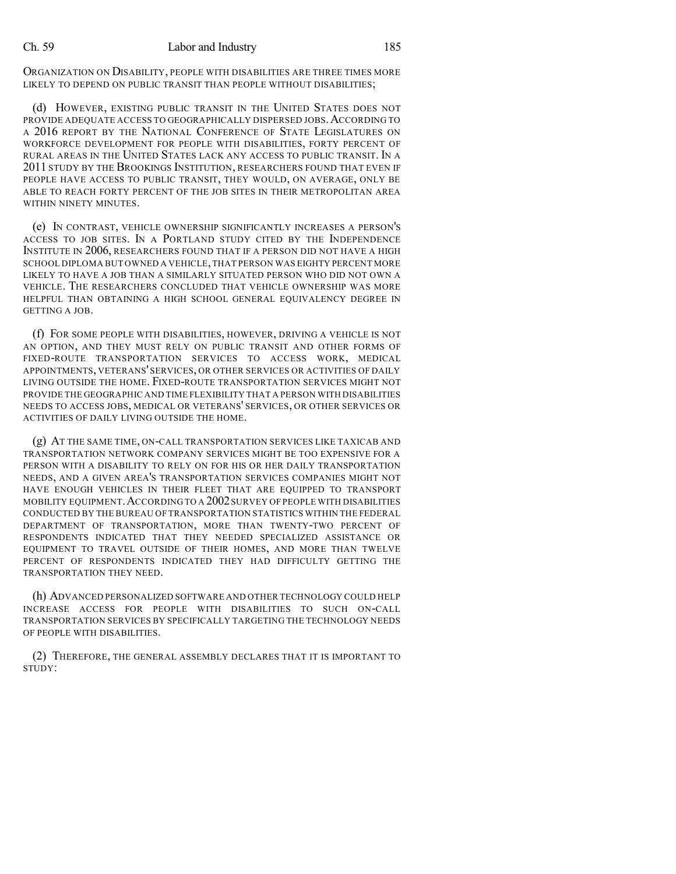ORGANIZATION ON DISABILITY, PEOPLE WITH DISABILITIES ARE THREE TIMES MORE LIKELY TO DEPEND ON PUBLIC TRANSIT THAN PEOPLE WITHOUT DISABILITIES;

(d) HOWEVER, EXISTING PUBLIC TRANSIT IN THE UNITED STATES DOES NOT PROVIDE ADEQUATE ACCESS TO GEOGRAPHICALLY DISPERSED JOBS. ACCORDING TO A 2016 REPORT BY THE NATIONAL CONFERENCE OF STATE LEGISLATURES ON WORKFORCE DEVELOPMENT FOR PEOPLE WITH DISABILITIES, FORTY PERCENT OF RURAL AREAS IN THE UNITED STATES LACK ANY ACCESS TO PUBLIC TRANSIT. IN A 2011 STUDY BY THE BROOKINGS INSTITUTION, RESEARCHERS FOUND THAT EVEN IF PEOPLE HAVE ACCESS TO PUBLIC TRANSIT, THEY WOULD, ON AVERAGE, ONLY BE ABLE TO REACH FORTY PERCENT OF THE JOB SITES IN THEIR METROPOLITAN AREA WITHIN NINETY MINUTES.

(e) IN CONTRAST, VEHICLE OWNERSHIP SIGNIFICANTLY INCREASES A PERSON'S ACCESS TO JOB SITES. IN A PORTLAND STUDY CITED BY THE INDEPENDENCE INSTITUTE IN 2006, RESEARCHERS FOUND THAT IF A PERSON DID NOT HAVE A HIGH SCHOOL DIPLOMA BUT OWNED A VEHICLE,THAT PERSON WAS EIGHTY PERCENT MORE LIKELY TO HAVE A JOB THAN A SIMILARLY SITUATED PERSON WHO DID NOT OWN A VEHICLE. THE RESEARCHERS CONCLUDED THAT VEHICLE OWNERSHIP WAS MORE HELPFUL THAN OBTAINING A HIGH SCHOOL GENERAL EQUIVALENCY DEGREE IN GETTING A JOB.

(f) FOR SOME PEOPLE WITH DISABILITIES, HOWEVER, DRIVING A VEHICLE IS NOT AN OPTION, AND THEY MUST RELY ON PUBLIC TRANSIT AND OTHER FORMS OF FIXED-ROUTE TRANSPORTATION SERVICES TO ACCESS WORK, MEDICAL APPOINTMENTS, VETERANS' SERVICES, OR OTHER SERVICES OR ACTIVITIES OF DAILY LIVING OUTSIDE THE HOME. FIXED-ROUTE TRANSPORTATION SERVICES MIGHT NOT PROVIDE THE GEOGRAPHIC AND TIME FLEXIBILITY THAT A PERSON WITH DISABILITIES NEEDS TO ACCESS JOBS, MEDICAL OR VETERANS' SERVICES, OR OTHER SERVICES OR ACTIVITIES OF DAILY LIVING OUTSIDE THE HOME.

(g) AT THE SAME TIME, ON-CALL TRANSPORTATION SERVICES LIKE TAXICAB AND TRANSPORTATION NETWORK COMPANY SERVICES MIGHT BE TOO EXPENSIVE FOR A PERSON WITH A DISABILITY TO RELY ON FOR HIS OR HER DAILY TRANSPORTATION NEEDS, AND A GIVEN AREA'S TRANSPORTATION SERVICES COMPANIES MIGHT NOT HAVE ENOUGH VEHICLES IN THEIR FLEET THAT ARE EQUIPPED TO TRANSPORT MOBILITY EQUIPMENT.ACCORDING TO A 2002SURVEY OF PEOPLE WITH DISABILITIES CONDUCTED BY THE BUREAU OF TRANSPORTATION STATISTICS WITHIN THE FEDERAL DEPARTMENT OF TRANSPORTATION, MORE THAN TWENTY-TWO PERCENT OF RESPONDENTS INDICATED THAT THEY NEEDED SPECIALIZED ASSISTANCE OR EQUIPMENT TO TRAVEL OUTSIDE OF THEIR HOMES, AND MORE THAN TWELVE PERCENT OF RESPONDENTS INDICATED THEY HAD DIFFICULTY GETTING THE TRANSPORTATION THEY NEED.

(h) ADVANCED PERSONALIZED SOFTWARE AND OTHER TECHNOLOGY COULD HELP INCREASE ACCESS FOR PEOPLE WITH DISABILITIES TO SUCH ON-CALL TRANSPORTATION SERVICES BY SPECIFICALLY TARGETING THE TECHNOLOGY NEEDS OF PEOPLE WITH DISABILITIES.

(2) THEREFORE, THE GENERAL ASSEMBLY DECLARES THAT IT IS IMPORTANT TO STUDY: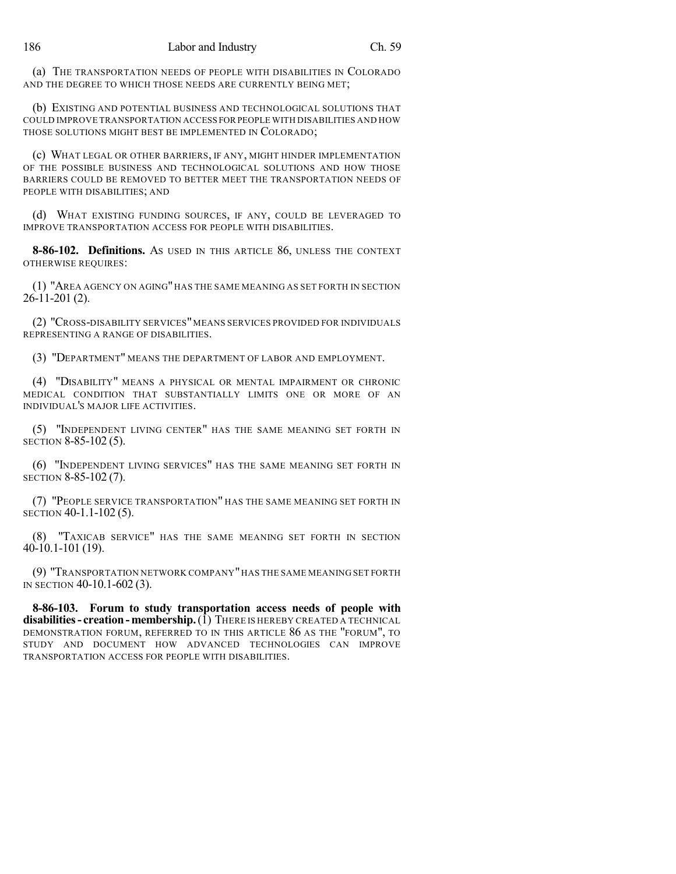(a) THE TRANSPORTATION NEEDS OF PEOPLE WITH DISABILITIES IN COLORADO AND THE DEGREE TO WHICH THOSE NEEDS ARE CURRENTLY BEING MET;

(b) EXISTING AND POTENTIAL BUSINESS AND TECHNOLOGICAL SOLUTIONS THAT COULD IMPROVE TRANSPORTATION ACCESS FOR PEOPLE WITH DISABILITIES AND HOW THOSE SOLUTIONS MIGHT BEST BE IMPLEMENTED IN COLORADO;

(c) WHAT LEGAL OR OTHER BARRIERS, IF ANY, MIGHT HINDER IMPLEMENTATION OF THE POSSIBLE BUSINESS AND TECHNOLOGICAL SOLUTIONS AND HOW THOSE BARRIERS COULD BE REMOVED TO BETTER MEET THE TRANSPORTATION NEEDS OF PEOPLE WITH DISABILITIES; AND

(d) WHAT EXISTING FUNDING SOURCES, IF ANY, COULD BE LEVERAGED TO IMPROVE TRANSPORTATION ACCESS FOR PEOPLE WITH DISABILITIES.

**8-86-102. Definitions.** AS USED IN THIS ARTICLE 86, UNLESS THE CONTEXT OTHERWISE REQUIRES:

(1) "AREA AGENCY ON AGING" HAS THE SAME MEANING AS SET FORTH IN SECTION 26-11-201 (2).

(2) "CROSS-DISABILITY SERVICES"MEANS SERVICES PROVIDED FOR INDIVIDUALS REPRESENTING A RANGE OF DISABILITIES.

(3) "DEPARTMENT" MEANS THE DEPARTMENT OF LABOR AND EMPLOYMENT.

(4) "DISABILITY" MEANS A PHYSICAL OR MENTAL IMPAIRMENT OR CHRONIC MEDICAL CONDITION THAT SUBSTANTIALLY LIMITS ONE OR MORE OF AN INDIVIDUAL'S MAJOR LIFE ACTIVITIES.

(5) "INDEPENDENT LIVING CENTER" HAS THE SAME MEANING SET FORTH IN SECTION 8-85-102 (5).

(6) "INDEPENDENT LIVING SERVICES" HAS THE SAME MEANING SET FORTH IN SECTION 8-85-102 (7).

(7) "PEOPLE SERVICE TRANSPORTATION" HAS THE SAME MEANING SET FORTH IN SECTION 40-1.1-102 (5).

(8) "TAXICAB SERVICE" HAS THE SAME MEANING SET FORTH IN SECTION 40-10.1-101 (19).

(9) "TRANSPORTATION NETWORK COMPANY" HAS THE SAME MEANING SET FORTH IN SECTION 40-10.1-602 (3).

**8-86-103. Forum to study transportation access needs of people with disabilities- creation-membership.**(1) THERE IS HEREBY CREATED A TECHNICAL DEMONSTRATION FORUM, REFERRED TO IN THIS ARTICLE 86 AS THE "FORUM", TO STUDY AND DOCUMENT HOW ADVANCED TECHNOLOGIES CAN IMPROVE TRANSPORTATION ACCESS FOR PEOPLE WITH DISABILITIES.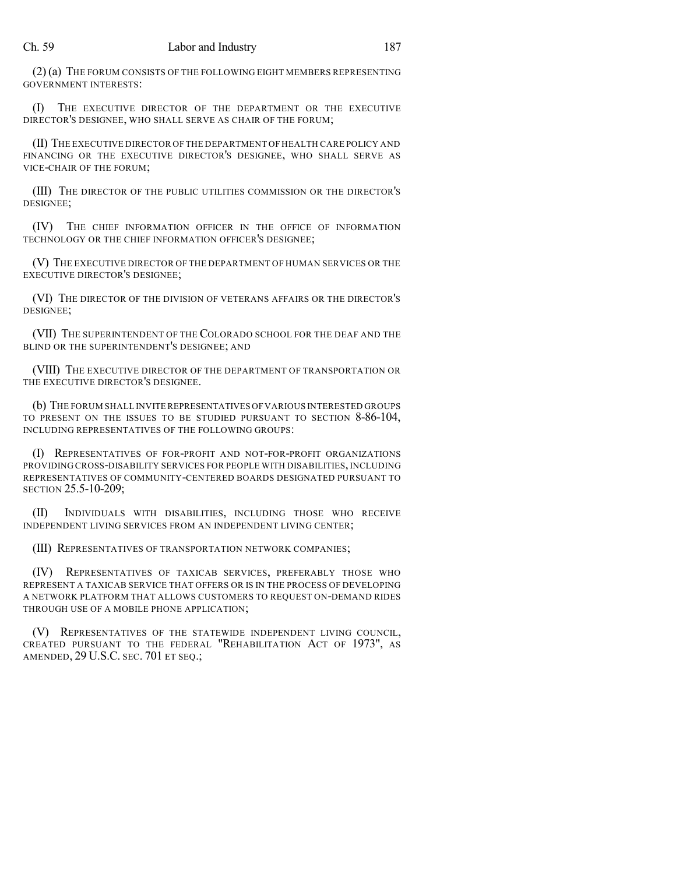#### Ch. 59 Labor and Industry 187

(2) (a) THE FORUM CONSISTS OF THE FOLLOWING EIGHT MEMBERS REPRESENTING GOVERNMENT INTERESTS:

(I) THE EXECUTIVE DIRECTOR OF THE DEPARTMENT OR THE EXECUTIVE DIRECTOR'S DESIGNEE, WHO SHALL SERVE AS CHAIR OF THE FORUM;

(II) THE EXECUTIVE DIRECTOR OF THE DEPARTMENT OF HEALTH CARE POLICY AND FINANCING OR THE EXECUTIVE DIRECTOR'S DESIGNEE, WHO SHALL SERVE AS VICE-CHAIR OF THE FORUM;

(III) THE DIRECTOR OF THE PUBLIC UTILITIES COMMISSION OR THE DIRECTOR'S DESIGNEE;

(IV) THE CHIEF INFORMATION OFFICER IN THE OFFICE OF INFORMATION TECHNOLOGY OR THE CHIEF INFORMATION OFFICER'S DESIGNEE;

(V) THE EXECUTIVE DIRECTOR OF THE DEPARTMENT OF HUMAN SERVICES OR THE EXECUTIVE DIRECTOR'S DESIGNEE;

(VI) THE DIRECTOR OF THE DIVISION OF VETERANS AFFAIRS OR THE DIRECTOR'S DESIGNEE;

(VII) THE SUPERINTENDENT OF THE COLORADO SCHOOL FOR THE DEAF AND THE BLIND OR THE SUPERINTENDENT'S DESIGNEE; AND

(VIII) THE EXECUTIVE DIRECTOR OF THE DEPARTMENT OF TRANSPORTATION OR THE EXECUTIVE DIRECTOR'S DESIGNEE.

(b) THE FORUM SHALL INVITE REPRESENTATIVES OFVARIOUS INTERESTED GROUPS TO PRESENT ON THE ISSUES TO BE STUDIED PURSUANT TO SECTION 8-86-104, INCLUDING REPRESENTATIVES OF THE FOLLOWING GROUPS:

(I) REPRESENTATIVES OF FOR-PROFIT AND NOT-FOR-PROFIT ORGANIZATIONS PROVIDING CROSS-DISABILITY SERVICES FOR PEOPLE WITH DISABILITIES, INCLUDING REPRESENTATIVES OF COMMUNITY-CENTERED BOARDS DESIGNATED PURSUANT TO SECTION 25.5-10-209;

(II) INDIVIDUALS WITH DISABILITIES, INCLUDING THOSE WHO RECEIVE INDEPENDENT LIVING SERVICES FROM AN INDEPENDENT LIVING CENTER;

(III) REPRESENTATIVES OF TRANSPORTATION NETWORK COMPANIES;

(IV) REPRESENTATIVES OF TAXICAB SERVICES, PREFERABLY THOSE WHO REPRESENT A TAXICAB SERVICE THAT OFFERS OR IS IN THE PROCESS OF DEVELOPING A NETWORK PLATFORM THAT ALLOWS CUSTOMERS TO REQUEST ON-DEMAND RIDES THROUGH USE OF A MOBILE PHONE APPLICATION;

(V) REPRESENTATIVES OF THE STATEWIDE INDEPENDENT LIVING COUNCIL, CREATED PURSUANT TO THE FEDERAL "REHABILITATION ACT OF 1973", AS AMENDED, 29 U.S.C. SEC. 701 ET SEQ.;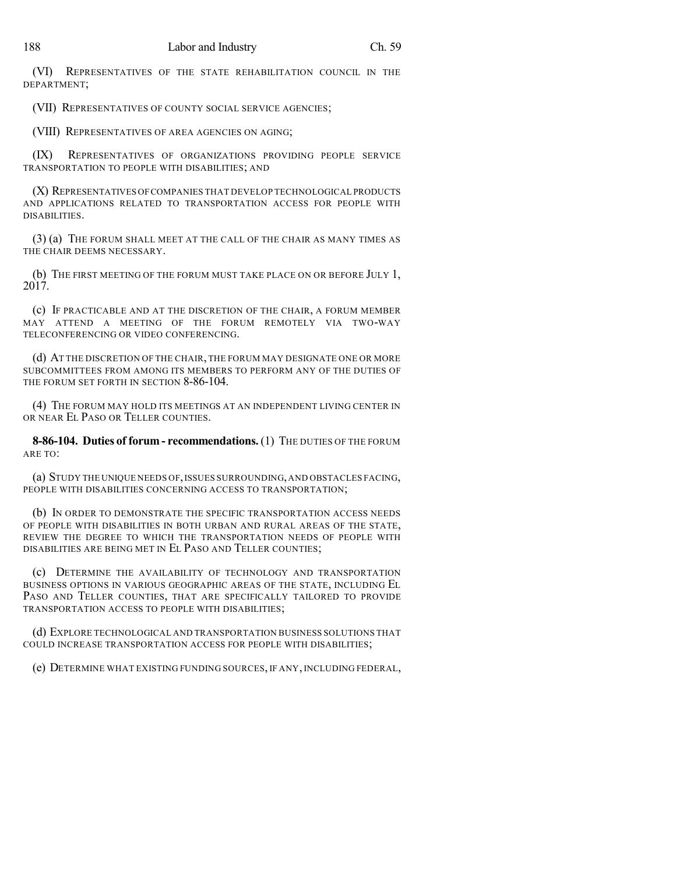(VI) REPRESENTATIVES OF THE STATE REHABILITATION COUNCIL IN THE DEPARTMENT;

(VII) REPRESENTATIVES OF COUNTY SOCIAL SERVICE AGENCIES;

(VIII) REPRESENTATIVES OF AREA AGENCIES ON AGING;

(IX) REPRESENTATIVES OF ORGANIZATIONS PROVIDING PEOPLE SERVICE TRANSPORTATION TO PEOPLE WITH DISABILITIES; AND

(X) REPRESENTATIVES OFCOMPANIES THAT DEVELOP TECHNOLOGICAL PRODUCTS AND APPLICATIONS RELATED TO TRANSPORTATION ACCESS FOR PEOPLE WITH DISABILITIES.

(3) (a) THE FORUM SHALL MEET AT THE CALL OF THE CHAIR AS MANY TIMES AS THE CHAIR DEEMS NECESSARY.

(b) THE FIRST MEETING OF THE FORUM MUST TAKE PLACE ON OR BEFORE JULY 1, 2017.

(c) IF PRACTICABLE AND AT THE DISCRETION OF THE CHAIR, A FORUM MEMBER MAY ATTEND A MEETING OF THE FORUM REMOTELY VIA TWO-WAY TELECONFERENCING OR VIDEO CONFERENCING.

(d) AT THE DISCRETION OF THE CHAIR, THE FORUM MAY DESIGNATE ONE OR MORE SUBCOMMITTEES FROM AMONG ITS MEMBERS TO PERFORM ANY OF THE DUTIES OF THE FORUM SET FORTH IN SECTION 8-86-104.

(4) THE FORUM MAY HOLD ITS MEETINGS AT AN INDEPENDENT LIVING CENTER IN OR NEAR EL PASO OR TELLER COUNTIES.

**8-86-104. Duties of forum - recommendations.** (1) THE DUTIES OF THE FORUM ARE TO:

(a) STUDY THE UNIQUE NEEDS OF,ISSUES SURROUNDING,AND OBSTACLES FACING, PEOPLE WITH DISABILITIES CONCERNING ACCESS TO TRANSPORTATION;

(b) IN ORDER TO DEMONSTRATE THE SPECIFIC TRANSPORTATION ACCESS NEEDS OF PEOPLE WITH DISABILITIES IN BOTH URBAN AND RURAL AREAS OF THE STATE, REVIEW THE DEGREE TO WHICH THE TRANSPORTATION NEEDS OF PEOPLE WITH DISABILITIES ARE BEING MET IN EL PASO AND TELLER COUNTIES;

(c) DETERMINE THE AVAILABILITY OF TECHNOLOGY AND TRANSPORTATION BUSINESS OPTIONS IN VARIOUS GEOGRAPHIC AREAS OF THE STATE, INCLUDING EL PASO AND TELLER COUNTIES, THAT ARE SPECIFICALLY TAILORED TO PROVIDE TRANSPORTATION ACCESS TO PEOPLE WITH DISABILITIES;

(d) EXPLORE TECHNOLOGICAL AND TRANSPORTATION BUSINESS SOLUTIONS THAT COULD INCREASE TRANSPORTATION ACCESS FOR PEOPLE WITH DISABILITIES;

(e) DETERMINE WHAT EXISTING FUNDING SOURCES, IF ANY, INCLUDING FEDERAL,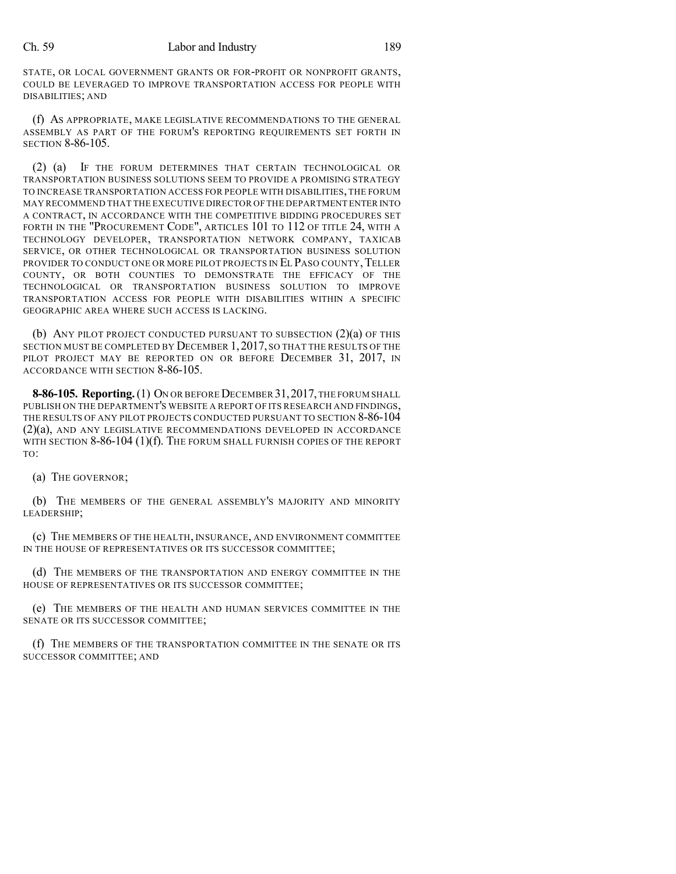STATE, OR LOCAL GOVERNMENT GRANTS OR FOR-PROFIT OR NONPROFIT GRANTS, COULD BE LEVERAGED TO IMPROVE TRANSPORTATION ACCESS FOR PEOPLE WITH DISABILITIES; AND

(f) AS APPROPRIATE, MAKE LEGISLATIVE RECOMMENDATIONS TO THE GENERAL ASSEMBLY AS PART OF THE FORUM'S REPORTING REQUIREMENTS SET FORTH IN SECTION 8-86-105.

(2) (a) IF THE FORUM DETERMINES THAT CERTAIN TECHNOLOGICAL OR TRANSPORTATION BUSINESS SOLUTIONS SEEM TO PROVIDE A PROMISING STRATEGY TO INCREASE TRANSPORTATION ACCESS FOR PEOPLE WITH DISABILITIES, THE FORUM MAY RECOMMEND THAT THE EXECUTIVE DIRECTOR OF THE DEPARTMENT ENTER INTO A CONTRACT, IN ACCORDANCE WITH THE COMPETITIVE BIDDING PROCEDURES SET FORTH IN THE "PROCUREMENT CODE", ARTICLES 101 TO 112 OF TITLE 24, WITH A TECHNOLOGY DEVELOPER, TRANSPORTATION NETWORK COMPANY, TAXICAB SERVICE, OR OTHER TECHNOLOGICAL OR TRANSPORTATION BUSINESS SOLUTION PROVIDER TO CONDUCT ONE OR MORE PILOT PROJECTS IN EL PASO COUNTY, TELLER COUNTY, OR BOTH COUNTIES TO DEMONSTRATE THE EFFICACY OF THE TECHNOLOGICAL OR TRANSPORTATION BUSINESS SOLUTION TO IMPROVE TRANSPORTATION ACCESS FOR PEOPLE WITH DISABILITIES WITHIN A SPECIFIC GEOGRAPHIC AREA WHERE SUCH ACCESS IS LACKING.

(b) ANY PILOT PROJECT CONDUCTED PURSUANT TO SUBSECTION (2)(a) OF THIS SECTION MUST BE COMPLETED BY DECEMBER 1, 2017, SO THAT THE RESULTS OF THE PILOT PROJECT MAY BE REPORTED ON OR BEFORE DECEMBER 31, 2017, IN ACCORDANCE WITH SECTION 8-86-105.

8-86-105. Reporting. (1) ON OR BEFORE DECEMBER 31, 2017, THE FORUM SHALL PUBLISH ON THE DEPARTMENT'S WEBSITE A REPORT OF ITS RESEARCH AND FINDINGS, THE RESULTS OF ANY PILOT PROJECTS CONDUCTED PURSUANT TO SECTION 8-86-104 (2)(a), AND ANY LEGISLATIVE RECOMMENDATIONS DEVELOPED IN ACCORDANCE WITH SECTION 8-86-104 (1)(f). THE FORUM SHALL FURNISH COPIES OF THE REPORT TO:

(a) THE GOVERNOR;

(b) THE MEMBERS OF THE GENERAL ASSEMBLY'S MAJORITY AND MINORITY LEADERSHIP;

(c) THE MEMBERS OF THE HEALTH, INSURANCE, AND ENVIRONMENT COMMITTEE IN THE HOUSE OF REPRESENTATIVES OR ITS SUCCESSOR COMMITTEE;

(d) THE MEMBERS OF THE TRANSPORTATION AND ENERGY COMMITTEE IN THE HOUSE OF REPRESENTATIVES OR ITS SUCCESSOR COMMITTEE;

(e) THE MEMBERS OF THE HEALTH AND HUMAN SERVICES COMMITTEE IN THE SENATE OR ITS SUCCESSOR COMMITTEE;

(f) THE MEMBERS OF THE TRANSPORTATION COMMITTEE IN THE SENATE OR ITS SUCCESSOR COMMITTEE; AND